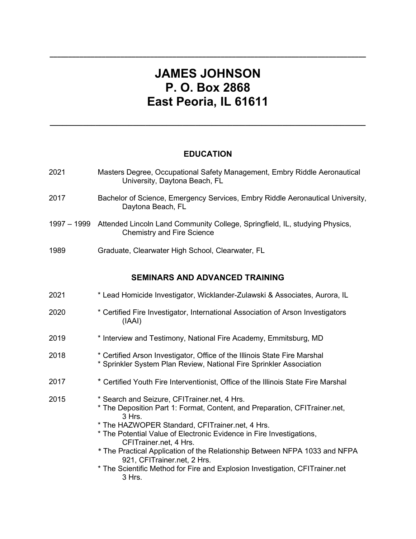## **JAMES JOHNSON P. O. Box 2868 East Peoria, IL 61611**

**\_\_\_\_\_\_\_\_\_\_\_\_\_\_\_\_\_\_\_\_\_\_\_\_\_\_\_\_\_\_\_\_\_\_\_\_\_\_\_\_\_\_\_\_\_\_\_\_\_\_\_\_\_\_\_\_\_\_\_\_\_\_\_\_\_\_\_\_\_\_\_\_\_\_\_\_\_\_\_\_\_\_\_\_\_**

## **EDUCATION**

**\_\_\_\_\_\_\_\_\_\_\_\_\_\_\_\_\_\_\_\_\_\_\_\_\_\_\_\_\_\_\_\_\_\_\_\_\_\_\_\_\_\_\_\_\_\_\_\_\_\_\_\_\_\_\_\_\_\_\_\_\_\_\_\_\_\_\_\_\_\_\_\_\_\_\_\_**

| Masters Degree, Occupational Safety Management, Embry Riddle Aeronautical<br>University, Daytona Beach, FL                                                                                                                                                                                                                                                                                                                                                                                       |
|--------------------------------------------------------------------------------------------------------------------------------------------------------------------------------------------------------------------------------------------------------------------------------------------------------------------------------------------------------------------------------------------------------------------------------------------------------------------------------------------------|
| Bachelor of Science, Emergency Services, Embry Riddle Aeronautical University,<br>Daytona Beach, FL                                                                                                                                                                                                                                                                                                                                                                                              |
| 1997 - 1999 Attended Lincoln Land Community College, Springfield, IL, studying Physics,<br><b>Chemistry and Fire Science</b>                                                                                                                                                                                                                                                                                                                                                                     |
| Graduate, Clearwater High School, Clearwater, FL                                                                                                                                                                                                                                                                                                                                                                                                                                                 |
| <b>SEMINARS AND ADVANCED TRAINING</b>                                                                                                                                                                                                                                                                                                                                                                                                                                                            |
| * Lead Homicide Investigator, Wicklander-Zulawski & Associates, Aurora, IL                                                                                                                                                                                                                                                                                                                                                                                                                       |
| * Certified Fire Investigator, International Association of Arson Investigators<br>(IAAI)                                                                                                                                                                                                                                                                                                                                                                                                        |
| * Interview and Testimony, National Fire Academy, Emmitsburg, MD                                                                                                                                                                                                                                                                                                                                                                                                                                 |
| * Certified Arson Investigator, Office of the Illinois State Fire Marshal<br>* Sprinkler System Plan Review, National Fire Sprinkler Association                                                                                                                                                                                                                                                                                                                                                 |
| * Certified Youth Fire Interventionist, Office of the Illinois State Fire Marshal                                                                                                                                                                                                                                                                                                                                                                                                                |
| * Search and Seizure, CFITrainer.net, 4 Hrs.<br>* The Deposition Part 1: Format, Content, and Preparation, CFITrainer.net,<br>3 Hrs.<br>* The HAZWOPER Standard, CFITrainer.net, 4 Hrs.<br>* The Potential Value of Electronic Evidence in Fire Investigations,<br>CFITrainer.net, 4 Hrs.<br>* The Practical Application of the Relationship Between NFPA 1033 and NFPA<br>921, CFITrainer.net, 2 Hrs.<br>* The Scientific Method for Fire and Explosion Investigation, CFITrainer.net<br>3 Hrs. |
|                                                                                                                                                                                                                                                                                                                                                                                                                                                                                                  |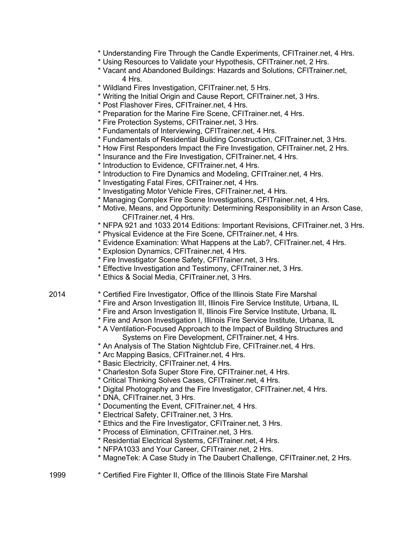- \* Understanding Fire Through the Candle Experiments, CFITrainer.net, 4 Hrs.
- \* Using Resources to Validate your Hypothesis, CFITrainer.net, 2 Hrs.
- \* Vacant and Abandoned Buildings: Hazards and Solutions, CFITrainer.net, 4 Hrs.
- \* Wildland Fires Investigation, CFITrainer.net, 5 Hrs.
- \* Writing the Initial Origin and Cause Report, CFITrainer.net, 3 Hrs.
- \* Post Flashover Fires, CFITrainer.net, 4 Hrs.
- \* Preparation for the Marine Fire Scene, CFITrainer.net, 4 Hrs.
- \* Fire Protection Systems, CFITrainer.net, 3 Hrs.
- \* Fundamentals of Interviewing, CFITrainer.net, 4 Hrs.
- \* Fundamentals of Residential Building Construction, CFITrainer.net, 3 Hrs.
- \* How First Responders Impact the Fire Investigation, CFITrainer.net, 2 Hrs.
- \* Insurance and the Fire Investigation, CFITrainer.net, 4 Hrs.
- \* Introduction to Evidence, CFITrainer.net, 4 Hrs.
- \* Introduction to Fire Dynamics and Modeling, CFITrainer.net, 4 Hrs.
- \* Investigating Fatal Fires, CFITrainer.net, 4 Hrs.
- \* Investigating Motor Vehicle Fires, CFITrainer.net, 4 Hrs.
- \* Managing Complex Fire Scene Investigations, CFITrainer.net, 4 Hrs.
- \* Motive, Means, and Opportunity: Determining Responsibility in an Arson Case, CFITrainer.net, 4 Hrs.
- \* NFPA 921 and 1033 2014 Editions: Important Revisions, CFITrainer.net, 3 Hrs.
- \* Physical Evidence at the Fire Scene, CFITrainer.net, 4 Hrs.
- \* Evidence Examination: What Happens at the Lab?, CFITrainer.net, 4 Hrs.
- \* Explosion Dynamics, CFITrainer.net, 4 Hrs.
- \* Fire Investigator Scene Safety, CFITrainer.net, 3 Hrs.
- \* Effective Investigation and Testimony, CFITrainer.net, 3 Hrs.
- \* Ethics & Social Media, CFITrainer.net, 3 Hrs.
- 2014 \* Certified Fire Investigator, Office of the Illinois State Fire Marshal
	- \* Fire and Arson Investigation III, Illinois Fire Service Institute, Urbana, IL
	- \* Fire and Arson Investigation II, Illinois Fire Service Institute, Urbana, IL
	- \* Fire and Arson Investigation I, Illinois Fire Service Institute, Urbana, IL
	- \* A Ventilation-Focused Approach to the Impact of Building Structures and Systems on Fire Development, CFITrainer.net, 4 Hrs.
	- \* An Analysis of The Station Nightclub Fire, CFITrainer.net, 4 Hrs.
	- \* Arc Mapping Basics, CFITrainer.net, 4 Hrs.
	- \* Basic Electricity, CFITrainer.net, 4 Hrs.
	- \* Charleston Sofa Super Store Fire, CFITrainer.net, 4 Hrs.
	- \* Critical Thinking Solves Cases, CFITrainer.net, 4 Hrs.
	- \* Digital Photography and the Fire Investigator, CFITrainer.net, 4 Hrs.
	- \* DNA, CFITrainer.net, 3 Hrs.
	- \* Documenting the Event, CFITrainer.net, 4 Hrs.
	- \* Electrical Safety, CFITrainer.net, 3 Hrs.
	- \* Ethics and the Fire Investigator, CFITrainer.net, 3 Hrs.
	- \* Process of Elimination, CFITrainer.net, 3 Hrs.
	- \* Residential Electrical Systems, CFITrainer.net, 4 Hrs.
	- \* NFPA1033 and Your Career, CFITrainer.net, 2 Hrs.
	- \* MagneTek: A Case Study in The Daubert Challenge, CFITrainer.net, 2 Hrs.
- 1999 \* Certified Fire Fighter II, Office of the Illinois State Fire Marshal